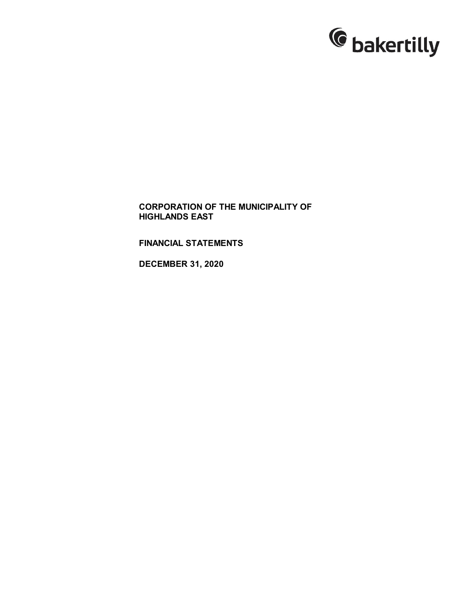

**FINANCIAL STATEMENTS**

**DECEMBER 31, 2020**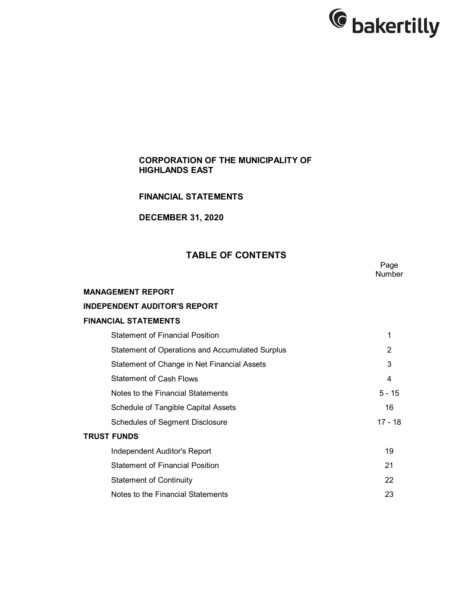

# **FINANCIAL STATEMENTS**

**DECEMBER 31, 2020**

# **TABLE OF CONTENTS**

|                                                 | Page<br>Number |
|-------------------------------------------------|----------------|
| <b>MANAGEMENT REPORT</b>                        |                |
| <b>INDEPENDENT AUDITOR'S REPORT</b>             |                |
| <b>FINANCIAL STATEMENTS</b>                     |                |
| <b>Statement of Financial Position</b>          | 1              |
| Statement of Operations and Accumulated Surplus | 2              |
| Statement of Change in Net Financial Assets     | 3              |
| <b>Statement of Cash Flows</b>                  | 4              |
| Notes to the Financial Statements               | $5 - 15$       |
| Schedule of Tangible Capital Assets             | 16             |
| <b>Schedules of Segment Disclosure</b>          | $17 - 18$      |
| <b>TRUST FUNDS</b>                              |                |
| Independent Auditor's Report                    | 19             |
| <b>Statement of Financial Position</b>          | 21             |
| <b>Statement of Continuity</b>                  | 22             |
| Notes to the Financial Statements               | 23             |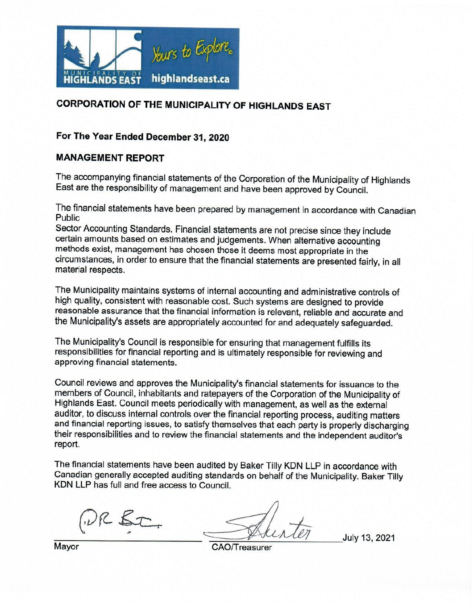

# For The Year Ended December 31, 2020

# **MANAGEMENT REPORT**

The accompanying financial statements of the Corporation of the Municipality of Highlands East are the responsibility of management and have been approved by Council.

The financial statements have been prepared by management in accordance with Canadian Public

Sector Accounting Standards. Financial statements are not precise since they include certain amounts based on estimates and judgements. When alternative accounting methods exist, management has chosen those it deems most appropriate in the circumstances, in order to ensure that the financial statements are presented fairly, in all material respects.

The Municipality maintains systems of internal accounting and administrative controls of high quality, consistent with reasonable cost. Such systems are designed to provide reasonable assurance that the financial information is relevant, reliable and accurate and the Municipality's assets are appropriately accounted for and adequately safeguarded.

The Municipality's Council is responsible for ensuring that management fulfills its responsibilities for financial reporting and is ultimately responsible for reviewing and approving financial statements.

Council reviews and approves the Municipality's financial statements for issuance to the members of Council, inhabitants and ratepayers of the Corporation of the Municipality of Highlands East. Council meets periodically with management, as well as the external auditor, to discuss internal controls over the financial reporting process, auditing matters and financial reporting issues, to satisfy themselves that each party is properly discharging their responsibilities and to review the financial statements and the independent auditor's report.

The financial statements have been audited by Baker Tilly KDN LLP in accordance with Canadian generally accepted auditing standards on behalf of the Municipality. Baker Tilly KDN LLP has full and free access to Council.

 $R52$ 

July 13, 2021

Mayor

**CAO/Treasurer**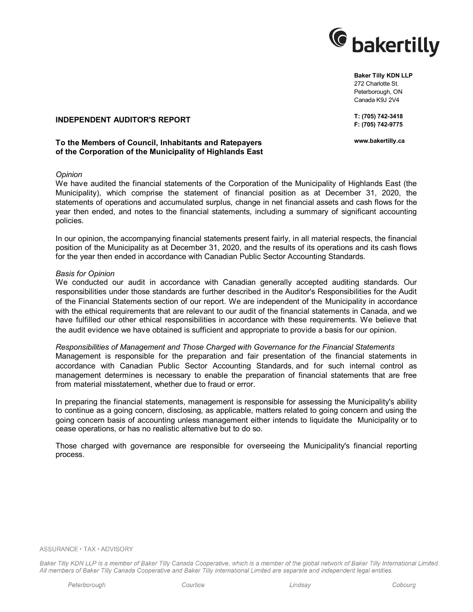

# **Baker Tilly KDN LLP**

272 Charlotte St. Peterborough, ON Canada K9J 2V4

**T: (705) 742-3418 F: (705) 742-9775**

**www.bakertilly.ca**

### **INDEPENDENT AUDITOR'S REPORT**

## **To the Members of Council, Inhabitants and Ratepayers of the Corporation of the Municipality of Highlands East**

#### *Opinion*

We have audited the financial statements of the Corporation of the Municipality of Highlands East (the Municipality), which comprise the statement of financial position as at December 31, 2020, the statements of operations and accumulated surplus, change in net financial assets and cash flows for the year then ended, and notes to the financial statements, including a summary of significant accounting policies.

In our opinion, the accompanying financial statements present fairly, in all material respects, the financial position of the Municipality as at December 31, 2020, and the results of its operations and its cash flows for the year then ended in accordance with Canadian Public Sector Accounting Standards.

#### *Basis for Opinion*

We conducted our audit in accordance with Canadian generally accepted auditing standards. Our responsibilities under those standards are further described in the Auditor's Responsibilities for the Audit of the Financial Statements section of our report. We are independent of the Municipality in accordance with the ethical requirements that are relevant to our audit of the financial statements in Canada, and we have fulfilled our other ethical responsibilities in accordance with these requirements. We believe that the audit evidence we have obtained is sufficient and appropriate to provide a basis for our opinion.

### *Responsibilities of Management and Those Charged with Governance for the Financial Statements*

Management is responsible for the preparation and fair presentation of the financial statements in accordance with Canadian Public Sector Accounting Standards, and for such internal control as management determines is necessary to enable the preparation of financial statements that are free from material misstatement, whether due to fraud or error.

In preparing the financial statements, management is responsible for assessing the Municipality's ability to continue as a going concern, disclosing, as applicable, matters related to going concern and using the going concern basis of accounting unless management either intends to liquidate the Municipality or to cease operations, or has no realistic alternative but to do so.

Those charged with governance are responsible for overseeing the Municipality's financial reporting process.

#### ASSURANCE · TAX · ADVISORY

Baker Tilly KDN LLP is a member of Baker Tilly Canada Cooperative, which is a member of the global network of Baker Tilly International Limited. All members of Baker Tilly Canada Cooperative and Baker Tilly International Limited are separate and independent legal entities.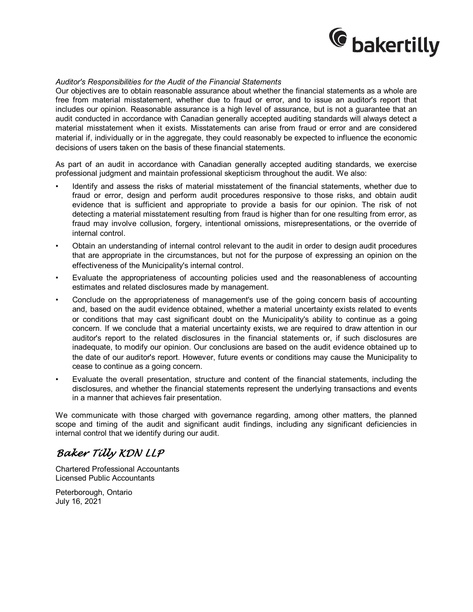

#### *Auditor's Responsibilities for the Audit of the Financial Statements*

Our objectives are to obtain reasonable assurance about whether the financial statements as a whole are free from material misstatement, whether due to fraud or error, and to issue an auditor's report that includes our opinion. Reasonable assurance is a high level of assurance, but is not a guarantee that an audit conducted in accordance with Canadian generally accepted auditing standards will always detect a material misstatement when it exists. Misstatements can arise from fraud or error and are considered material if, individually or in the aggregate, they could reasonably be expected to influence the economic decisions of users taken on the basis of these financial statements.

As part of an audit in accordance with Canadian generally accepted auditing standards, we exercise professional judgment and maintain professional skepticism throughout the audit. We also:

- Identify and assess the risks of material misstatement of the financial statements, whether due to fraud or error, design and perform audit procedures responsive to those risks, and obtain audit evidence that is sufficient and appropriate to provide a basis for our opinion. The risk of not detecting a material misstatement resulting from fraud is higher than for one resulting from error, as fraud may involve collusion, forgery, intentional omissions, misrepresentations, or the override of internal control.
- Obtain an understanding of internal control relevant to the audit in order to design audit procedures that are appropriate in the circumstances, but not for the purpose of expressing an opinion on the effectiveness of the Municipality's internal control.
- Evaluate the appropriateness of accounting policies used and the reasonableness of accounting estimates and related disclosures made by management.
- Conclude on the appropriateness of management's use of the going concern basis of accounting and, based on the audit evidence obtained, whether a material uncertainty exists related to events or conditions that may cast significant doubt on the Municipality's ability to continue as a going concern. If we conclude that a material uncertainty exists, we are required to draw attention in our auditor's report to the related disclosures in the financial statements or, if such disclosures are inadequate, to modify our opinion. Our conclusions are based on the audit evidence obtained up to the date of our auditor's report. However, future events or conditions may cause the Municipality to cease to continue as a going concern.
- Evaluate the overall presentation, structure and content of the financial statements, including the disclosures, and whether the financial statements represent the underlying transactions and events in a manner that achieves fair presentation.

We communicate with those charged with governance regarding, among other matters, the planned scope and timing of the audit and significant audit findings, including any significant deficiencies in internal control that we identify during our audit.

# *Baker Tilly KDN LLP*

Chartered Professional Accountants Licensed Public Accountants

Peterborough, Ontario July 16, 2021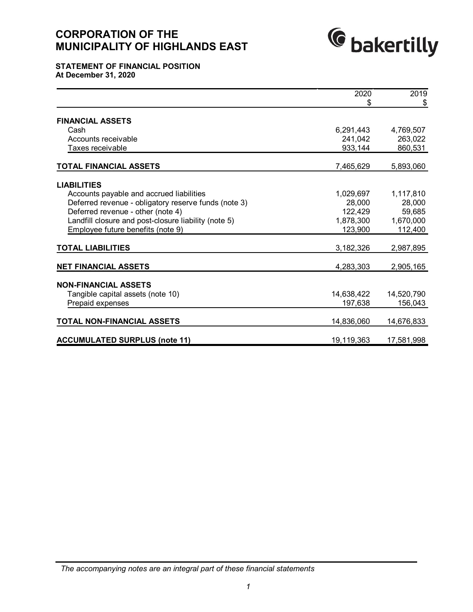

### **STATEMENT OF FINANCIAL POSITION At December 31, 2020**

|                                                      | 2020<br>\$ | 2019<br>\$ |
|------------------------------------------------------|------------|------------|
| <b>FINANCIAL ASSETS</b>                              |            |            |
| Cash                                                 | 6,291,443  | 4,769,507  |
| Accounts receivable                                  | 241,042    | 263,022    |
| Taxes receivable                                     | 933,144    | 860,531    |
| <b>TOTAL FINANCIAL ASSETS</b>                        | 7,465,629  | 5,893,060  |
| <b>LIABILITIES</b>                                   |            |            |
| Accounts payable and accrued liabilities             | 1,029,697  | 1,117,810  |
| Deferred revenue - obligatory reserve funds (note 3) | 28,000     | 28,000     |
| Deferred revenue - other (note 4)                    | 122,429    | 59,685     |
| Landfill closure and post-closure liability (note 5) | 1,878,300  | 1,670,000  |
| Employee future benefits (note 9)                    | 123,900    | 112,400    |
| <b>TOTAL LIABILITIES</b>                             | 3,182,326  | 2,987,895  |
| <b>NET FINANCIAL ASSETS</b>                          | 4,283,303  | 2,905,165  |
| <b>NON-FINANCIAL ASSETS</b>                          |            |            |
| Tangible capital assets (note 10)                    | 14,638,422 | 14,520,790 |
| Prepaid expenses                                     | 197,638    | 156,043    |
| TOTAL NON-FINANCIAL ASSETS                           | 14,836,060 | 14,676,833 |
| <b>ACCUMULATED SURPLUS (note 11)</b>                 | 19,119,363 | 17,581,998 |

*The accompanying notes are an integral part of these financial statements*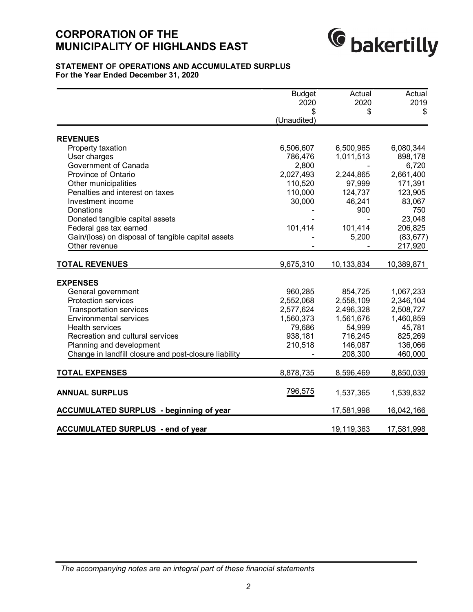

## **STATEMENT OF OPERATIONS AND ACCUMULATED SURPLUS For the Year Ended December 31, 2020**

|                                                       | <b>Budget</b> | Actual     | Actual     |
|-------------------------------------------------------|---------------|------------|------------|
|                                                       | 2020          | 2020<br>\$ | 2019<br>\$ |
|                                                       | (Unaudited)   |            |            |
| <b>REVENUES</b>                                       |               |            |            |
| Property taxation                                     | 6,506,607     | 6,500,965  | 6,080,344  |
| User charges                                          | 786,476       | 1,011,513  | 898,178    |
| Government of Canada                                  | 2,800         |            | 6,720      |
| Province of Ontario                                   | 2,027,493     | 2,244,865  | 2,661,400  |
| Other municipalities                                  | 110,520       | 97,999     | 171,391    |
| Penalties and interest on taxes                       | 110,000       | 124,737    | 123,905    |
| Investment income                                     | 30,000        | 46,241     | 83,067     |
| <b>Donations</b>                                      |               | 900        | 750        |
| Donated tangible capital assets                       |               |            | 23,048     |
| Federal gas tax earned                                | 101,414       | 101,414    | 206,825    |
| Gain/(loss) on disposal of tangible capital assets    |               | 5,200      | (83, 677)  |
| Other revenue                                         |               |            | 217,920    |
|                                                       |               |            |            |
| <b>TOTAL REVENUES</b>                                 | 9,675,310     | 10,133,834 | 10,389,871 |
| <b>EXPENSES</b>                                       |               |            |            |
| General government                                    | 960,285       | 854,725    | 1,067,233  |
| <b>Protection services</b>                            | 2,552,068     | 2,558,109  | 2,346,104  |
| <b>Transportation services</b>                        | 2,577,624     | 2,496,328  | 2,508,727  |
| Environmental services                                | 1,560,373     | 1,561,676  | 1,460,859  |
| <b>Health services</b>                                | 79,686        | 54,999     | 45,781     |
| Recreation and cultural services                      | 938,181       | 716,245    | 825,269    |
| Planning and development                              | 210,518       | 146,087    | 136,066    |
| Change in landfill closure and post-closure liability |               | 208,300    | 460,000    |
| <b>TOTAL EXPENSES</b>                                 | 8,878,735     | 8,596,469  | 8,850,039  |
|                                                       |               |            |            |
| <b>ANNUAL SURPLUS</b>                                 | 796,575       | 1,537,365  | 1,539,832  |
| <b>ACCUMULATED SURPLUS - beginning of year</b>        |               | 17,581,998 | 16,042,166 |
| <b>ACCUMULATED SURPLUS - end of year</b>              |               | 19,119,363 | 17,581,998 |
|                                                       |               |            |            |

 *The accompanying notes are an integral part of these financial statements*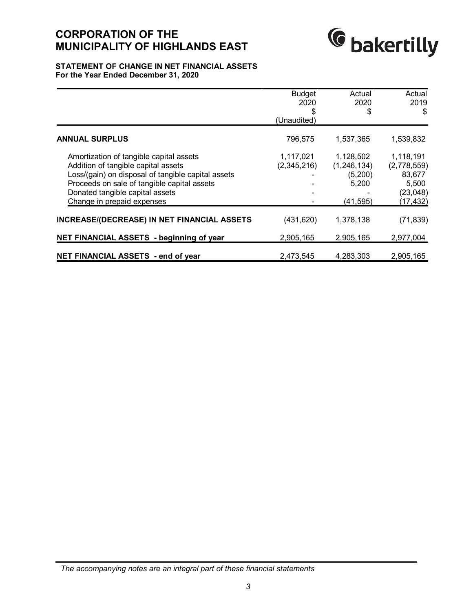

## **STATEMENT OF CHANGE IN NET FINANCIAL ASSETS For the Year Ended December 31, 2020**

|                                                                                | <b>Budget</b><br>2020    | Actual<br>2020             | Actual<br>2019           |
|--------------------------------------------------------------------------------|--------------------------|----------------------------|--------------------------|
|                                                                                | S<br>(Unaudited)         | \$                         | \$                       |
| <b>ANNUAL SURPLUS</b>                                                          | 796,575                  | 1,537,365                  | 1,539,832                |
| Amortization of tangible capital assets<br>Addition of tangible capital assets | 1,117,021<br>(2,345,216) | 1,128,502<br>(1, 246, 134) | 1,118,191<br>(2,778,559) |
| Loss/(gain) on disposal of tangible capital assets                             |                          | (5,200)                    | 83,677                   |
| Proceeds on sale of tangible capital assets<br>Donated tangible capital assets |                          | 5,200                      | 5,500<br>(23, 048)       |
| Change in prepaid expenses                                                     |                          | (41, 595)                  | (17, 432)                |
| <b>INCREASE/(DECREASE) IN NET FINANCIAL ASSETS</b>                             | (431, 620)               | 1,378,138                  | (71, 839)                |
| NET FINANCIAL ASSETS - beginning of year                                       | 2,905,165                | 2,905,165                  | 2,977,004                |
| NET FINANCIAL ASSETS - end of year                                             | 2,473,545                | 4,283,303                  | 2,905,165                |

*The accompanying notes are an integral part of these financial statements*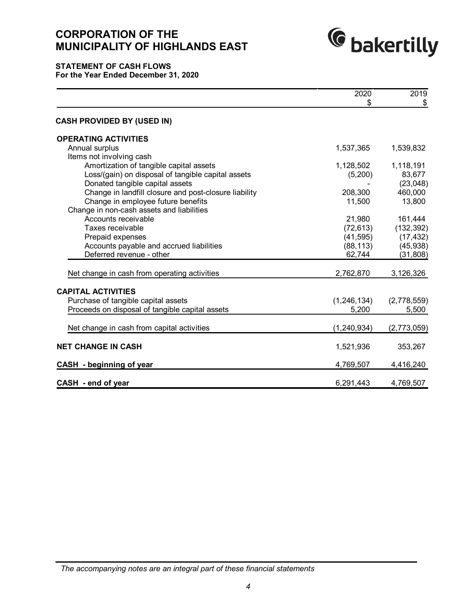

**STATEMENT OF CASH FLOWS For the Year Ended December 31, 2020**

|                                                       | 2020<br>S     | 2019<br>\$  |
|-------------------------------------------------------|---------------|-------------|
| <b>CASH PROVIDED BY (USED IN)</b>                     |               |             |
| <b>OPERATING ACTIVITIES</b>                           |               |             |
| Annual surplus                                        | 1,537,365     | 1,539,832   |
| Items not involving cash                              |               |             |
| Amortization of tangible capital assets               | 1,128,502     | 1,118,191   |
| Loss/(gain) on disposal of tangible capital assets    | (5,200)       | 83,677      |
| Donated tangible capital assets                       |               | (23,048)    |
| Change in landfill closure and post-closure liability | 208,300       | 460,000     |
| Change in employee future benefits                    | 11,500        | 13,800      |
| Change in non-cash assets and liabilities             |               |             |
| Accounts receivable                                   | 21,980        | 161,444     |
| Taxes receivable                                      | (72, 613)     | (132, 392)  |
| Prepaid expenses                                      | (41, 595)     | (17, 432)   |
| Accounts payable and accrued liabilities              | (88, 113)     | (45,938)    |
| Deferred revenue - other                              | 62,744        | (31, 808)   |
| Net change in cash from operating activities          | 2,762,870     | 3,126,326   |
| <b>CAPITAL ACTIVITIES</b>                             |               |             |
| Purchase of tangible capital assets                   | (1, 246, 134) | (2,778,559) |
| Proceeds on disposal of tangible capital assets       | 5,200         | 5,500       |
| Net change in cash from capital activities            | (1, 240, 934) | (2,773,059) |
| <b>NET CHANGE IN CASH</b>                             | 1,521,936     | 353,267     |
| <b>CASH</b> - beginning of year                       | 4,769,507     | 4,416,240   |
| CASH - end of year                                    | 6,291,443     | 4,769,507   |

 *The accompanying notes are an integral part of these financial statements*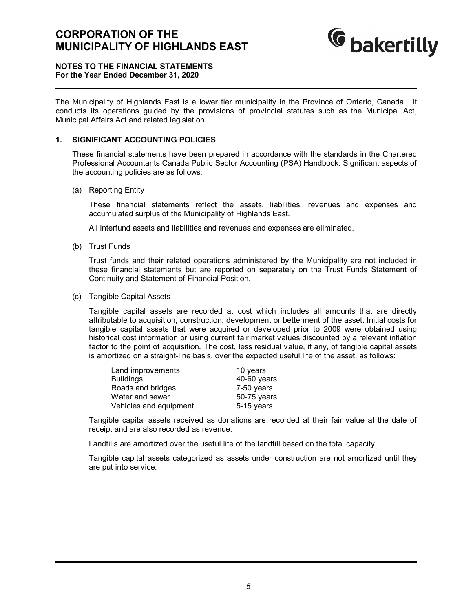

## **NOTES TO THE FINANCIAL STATEMENTS For the Year Ended December 31, 2020**

The Municipality of Highlands East is a lower tier municipality in the Province of Ontario, Canada. It conducts its operations guided by the provisions of provincial statutes such as the Municipal Act, Municipal Affairs Act and related legislation.

## **1. SIGNIFICANT ACCOUNTING POLICIES**

These financial statements have been prepared in accordance with the standards in the Chartered Professional Accountants Canada Public Sector Accounting (PSA) Handbook. Significant aspects of the accounting policies are as follows:

(a) Reporting Entity

These financial statements reflect the assets, liabilities, revenues and expenses and accumulated surplus of the Municipality of Highlands East.

All interfund assets and liabilities and revenues and expenses are eliminated.

(b) Trust Funds

Trust funds and their related operations administered by the Municipality are not included in these financial statements but are reported on separately on the Trust Funds Statement of Continuity and Statement of Financial Position.

(c) Tangible Capital Assets

Tangible capital assets are recorded at cost which includes all amounts that are directly attributable to acquisition, construction, development or betterment of the asset. Initial costs for tangible capital assets that were acquired or developed prior to 2009 were obtained using historical cost information or using current fair market values discounted by a relevant inflation factor to the point of acquisition. The cost, less residual value, if any, of tangible capital assets is amortized on a straight-line basis, over the expected useful life of the asset, as follows:

| Land improvements      | 10 years      |
|------------------------|---------------|
| <b>Buildings</b>       | $40-60$ years |
| Roads and bridges      | 7-50 years    |
| Water and sewer        | 50-75 years   |
| Vehicles and equipment | 5-15 years    |

Tangible capital assets received as donations are recorded at their fair value at the date of receipt and are also recorded as revenue.

Landfills are amortized over the useful life of the landfill based on the total capacity.

Tangible capital assets categorized as assets under construction are not amortized until they are put into service.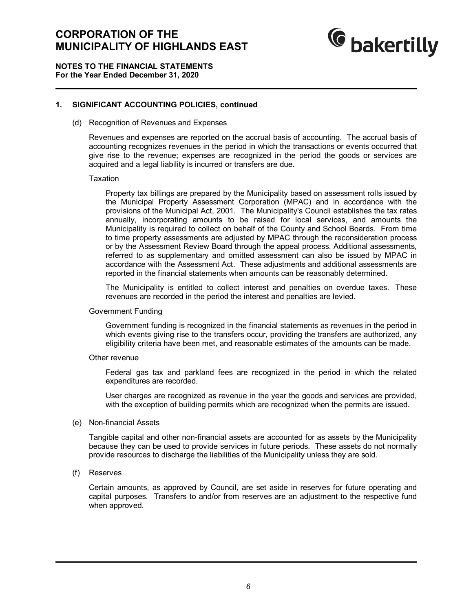

**NOTES TO THE FINANCIAL STATEMENTS For the Year Ended December 31, 2020**

# **1. SIGNIFICANT ACCOUNTING POLICIES, continued**

(d) Recognition of Revenues and Expenses

Revenues and expenses are reported on the accrual basis of accounting. The accrual basis of accounting recognizes revenues in the period in which the transactions or events occurred that give rise to the revenue; expenses are recognized in the period the goods or services are acquired and a legal liability is incurred or transfers are due.

#### **Taxation**

Property tax billings are prepared by the Municipality based on assessment rolls issued by the Municipal Property Assessment Corporation (MPAC) and in accordance with the provisions of the Municipal Act, 2001. The Municipality's Council establishes the tax rates annually, incorporating amounts to be raised for local services, and amounts the Municipality is required to collect on behalf of the County and School Boards. From time to time property assessments are adjusted by MPAC through the reconsideration process or by the Assessment Review Board through the appeal process. Additional assessments, referred to as supplementary and omitted assessment can also be issued by MPAC in accordance with the Assessment Act. These adjustments and additional assessments are reported in the financial statements when amounts can be reasonably determined.

The Municipality is entitled to collect interest and penalties on overdue taxes. These revenues are recorded in the period the interest and penalties are levied.

### Government Funding

Government funding is recognized in the financial statements as revenues in the period in which events giving rise to the transfers occur, providing the transfers are authorized, any eligibility criteria have been met, and reasonable estimates of the amounts can be made.

#### Other revenue

Federal gas tax and parkland fees are recognized in the period in which the related expenditures are recorded.

User charges are recognized as revenue in the year the goods and services are provided, with the exception of building permits which are recognized when the permits are issued.

#### (e) Non-financial Assets

Tangible capital and other non-financial assets are accounted for as assets by the Municipality because they can be used to provide services in future periods. These assets do not normally provide resources to discharge the liabilities of the Municipality unless they are sold.

### (f) Reserves

Certain amounts, as approved by Council, are set aside in reserves for future operating and capital purposes. Transfers to and/or from reserves are an adjustment to the respective fund when approved.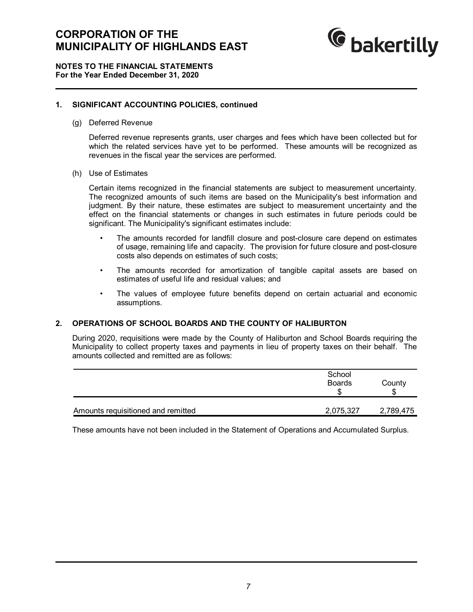

**NOTES TO THE FINANCIAL STATEMENTS For the Year Ended December 31, 2020**

## **1. SIGNIFICANT ACCOUNTING POLICIES, continued**

(g) Deferred Revenue

Deferred revenue represents grants, user charges and fees which have been collected but for which the related services have yet to be performed. These amounts will be recognized as revenues in the fiscal year the services are performed.

(h) Use of Estimates

Certain items recognized in the financial statements are subject to measurement uncertainty. The recognized amounts of such items are based on the Municipality's best information and judgment. By their nature, these estimates are subject to measurement uncertainty and the effect on the financial statements or changes in such estimates in future periods could be significant. The Municipality's significant estimates include:

- The amounts recorded for landfill closure and post-closure care depend on estimates of usage, remaining life and capacity. The provision for future closure and post-closure costs also depends on estimates of such costs;
- The amounts recorded for amortization of tangible capital assets are based on estimates of useful life and residual values; and
- The values of employee future benefits depend on certain actuarial and economic assumptions.

# **2. OPERATIONS OF SCHOOL BOARDS AND THE COUNTY OF HALIBURTON**

During 2020, requisitions were made by the County of Haliburton and School Boards requiring the Municipality to collect property taxes and payments in lieu of property taxes on their behalf. The amounts collected and remitted are as follows:

|                                    | School<br><b>Boards</b> | County<br>\$ |
|------------------------------------|-------------------------|--------------|
| Amounts requisitioned and remitted | 2.075.327               | 2,789,475    |

These amounts have not been included in the Statement of Operations and Accumulated Surplus.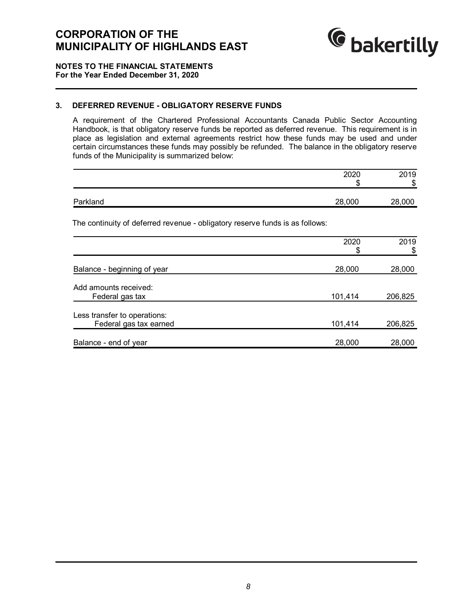

**NOTES TO THE FINANCIAL STATEMENTS For the Year Ended December 31, 2020**

## **3. DEFERRED REVENUE - OBLIGATORY RESERVE FUNDS**

A requirement of the Chartered Professional Accountants Canada Public Sector Accounting Handbook, is that obligatory reserve funds be reported as deferred revenue. This requirement is in place as legislation and external agreements restrict how these funds may be used and under certain circumstances these funds may possibly be refunded. The balance in the obligatory reserve funds of the Municipality is summarized below:

|          | 2020   | 2019             |
|----------|--------|------------------|
|          | sD.    | $\triangle$<br>w |
|          |        |                  |
| Parkland | 28,000 | 28,000           |

The continuity of deferred revenue - obligatory reserve funds is as follows:

|                                                        | 2020    | 2019    |
|--------------------------------------------------------|---------|---------|
|                                                        | S       | \$      |
| Balance - beginning of year                            | 28,000  | 28,000  |
| Add amounts received:<br>Federal gas tax               | 101,414 | 206,825 |
| Less transfer to operations:<br>Federal gas tax earned | 101,414 | 206,825 |
| Balance - end of year                                  | 28,000  | 28,000  |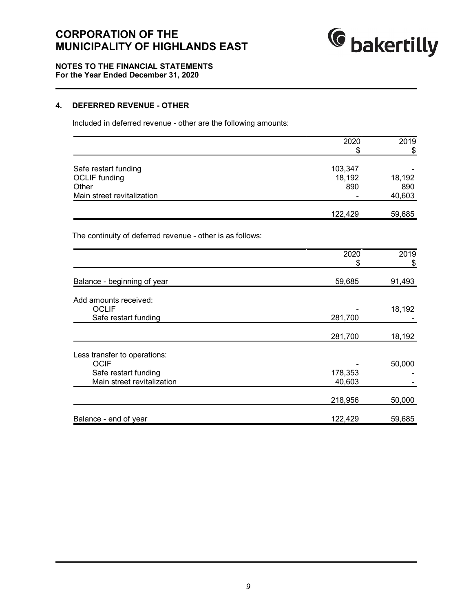

### **NOTES TO THE FINANCIAL STATEMENTS For the Year Ended December 31, 2020**

#### **4. DEFERRED REVENUE - OTHER**

Included in deferred revenue - other are the following amounts:

|                                                           | 2020    | 2019   |
|-----------------------------------------------------------|---------|--------|
|                                                           | \$      | \$     |
| Safe restart funding                                      | 103,347 |        |
| <b>OCLIF</b> funding                                      | 18,192  | 18,192 |
| Other                                                     | 890     | 890    |
| Main street revitalization                                |         | 40,603 |
|                                                           | 122,429 | 59,685 |
| The continuity of deferred revenue - other is as follows: |         |        |
|                                                           | 2020    | 2019   |
|                                                           | \$      | \$     |
| Balance - beginning of year                               | 59,685  | 91,493 |
| Add amounts received:                                     |         |        |
| <b>OCLIF</b>                                              |         | 18,192 |
| Safe restart funding                                      | 281,700 |        |
|                                                           | 281,700 | 18,192 |
|                                                           |         |        |
| Less transfer to operations:<br><b>OCIF</b>               |         |        |
| Safe restart funding                                      | 178,353 | 50,000 |
| Main street revitalization                                | 40,603  |        |
|                                                           |         |        |
|                                                           | 218,956 | 50,000 |
| Balance - end of year                                     | 122,429 | 59,685 |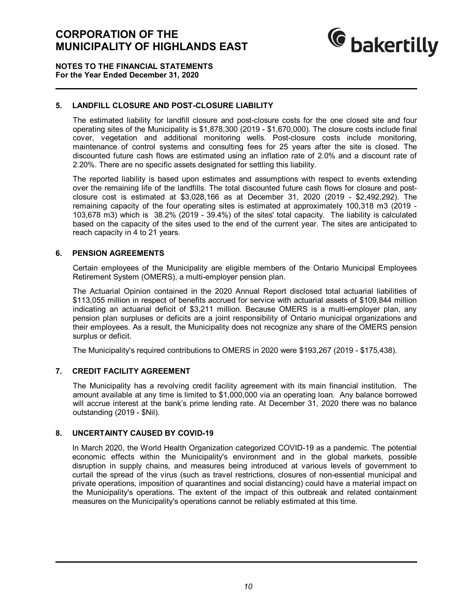

**NOTES TO THE FINANCIAL STATEMENTS For the Year Ended December 31, 2020**

# **5. LANDFILL CLOSURE AND POST-CLOSURE LIABILITY**

The estimated liability for landfill closure and post-closure costs for the one closed site and four operating sites of the Municipality is \$1,878,300 (2019 - \$1,670,000). The closure costs include final cover, vegetation and additional monitoring wells. Post-closure costs include monitoring, maintenance of control systems and consulting fees for 25 years after the site is closed. The discounted future cash flows are estimated using an inflation rate of 2.0% and a discount rate of 2.20%. There are no specific assets designated for settling this liability.

The reported liability is based upon estimates and assumptions with respect to events extending over the remaining life of the landfills. The total discounted future cash flows for closure and postclosure cost is estimated at \$3,028,166 as at December 31, 2020 (2019 - \$2,492,292). The remaining capacity of the four operating sites is estimated at approximately 100,318 m3 (2019 - 103,678 m3) which is 38.2% (2019 - 39.4%) of the sites' total capacity. The liability is calculated based on the capacity of the sites used to the end of the current year. The sites are anticipated to reach capacity in 4 to 21 years.

## **6. PENSION AGREEMENTS**

Certain employees of the Municipality are eligible members of the Ontario Municipal Employees Retirement System (OMERS), a multi-employer pension plan.

The Actuarial Opinion contained in the 2020 Annual Report disclosed total actuarial liabilities of \$113,055 million in respect of benefits accrued for service with actuarial assets of \$109,844 million indicating an actuarial deficit of \$3,211 million. Because OMERS is a multi-employer plan, any pension plan surpluses or deficits are a joint responsibility of Ontario municipal organizations and their employees. As a result, the Municipality does not recognize any share of the OMERS pension surplus or deficit.

The Municipality's required contributions to OMERS in 2020 were \$193,267 (2019 - \$175,438).

## **7. CREDIT FACILITY AGREEMENT**

The Municipality has a revolving credit facility agreement with its main financial institution. The amount available at any time is limited to \$1,000,000 via an operating loan. Any balance borrowed will accrue interest at the bank's prime lending rate. At December 31, 2020 there was no balance outstanding (2019 - \$Nil).

## **8. UNCERTAINTY CAUSED BY COVID-19**

In March 2020, the World Health Organization categorized COVID-19 as a pandemic. The potential economic effects within the Municipality's environment and in the global markets, possible disruption in supply chains, and measures being introduced at various levels of government to curtail the spread of the virus (such as travel restrictions, closures of non-essential municipal and private operations, imposition of quarantines and social distancing) could have a material impact on the Municipality's operations. The extent of the impact of this outbreak and related containment measures on the Municipality's operations cannot be reliably estimated at this time.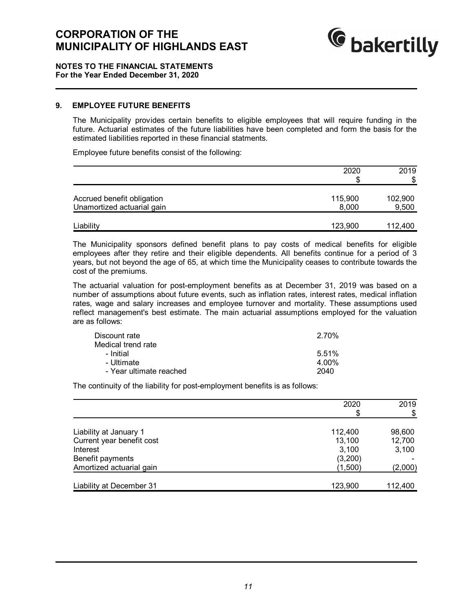

**NOTES TO THE FINANCIAL STATEMENTS For the Year Ended December 31, 2020**

# **9. EMPLOYEE FUTURE BENEFITS**

The Municipality provides certain benefits to eligible employees that will require funding in the future. Actuarial estimates of the future liabilities have been completed and form the basis for the estimated liabilities reported in these financial statments.

Employee future benefits consist of the following:

|                                                          | 2020             | 2019<br>\$       |
|----------------------------------------------------------|------------------|------------------|
| Accrued benefit obligation<br>Unamortized actuarial gain | 115,900<br>8,000 | 102,900<br>9,500 |
| Liability                                                | 123,900          | 112,400          |

The Municipality sponsors defined benefit plans to pay costs of medical benefits for eligible employees after they retire and their eligible dependents. All benefits continue for a period of 3 years, but not beyond the age of 65, at which time the Municipality ceases to contribute towards the cost of the premiums.

The actuarial valuation for post-employment benefits as at December 31, 2019 was based on a number of assumptions about future events, such as inflation rates, interest rates, medical inflation rates, wage and salary increases and employee turnover and mortality. These assumptions used reflect management's best estimate. The main actuarial assumptions employed for the valuation are as follows:

| Discount rate           | 2.70%    |
|-------------------------|----------|
| Medical trend rate      |          |
| - Initial               | $5.51\%$ |
| - Ultimate              | 4.00%    |
| - Year ultimate reached | 2040     |

The continuity of the liability for post-employment benefits is as follows:

|                           | 2020    | 2019    |
|---------------------------|---------|---------|
|                           |         |         |
| Liability at January 1    | 112,400 | 98,600  |
| Current year benefit cost | 13,100  | 12,700  |
| Interest                  | 3,100   | 3,100   |
| Benefit payments          | (3,200) |         |
| Amortized actuarial gain  | (1,500) | (2,000) |
| Liability at December 31  | 123,900 | 112,400 |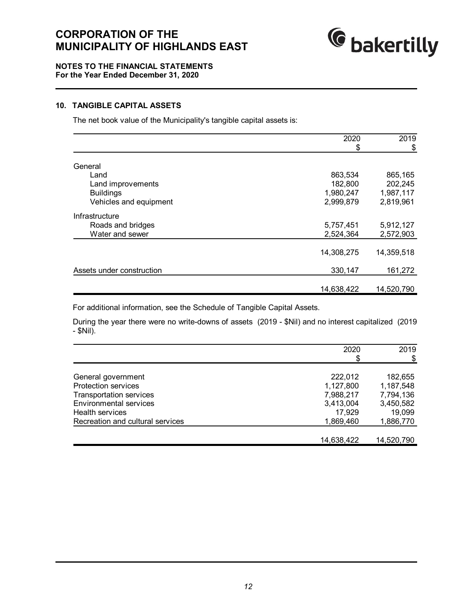

### **NOTES TO THE FINANCIAL STATEMENTS For the Year Ended December 31, 2020**

#### **10. TANGIBLE CAPITAL ASSETS**

The net book value of the Municipality's tangible capital assets is:

|                           | 2020       | 2019       |
|---------------------------|------------|------------|
|                           | \$         | \$         |
| General                   |            |            |
| Land                      | 863,534    | 865,165    |
| Land improvements         | 182,800    | 202,245    |
| <b>Buildings</b>          | 1,980,247  | 1,987,117  |
| Vehicles and equipment    | 2,999,879  | 2,819,961  |
| Infrastructure            |            |            |
| Roads and bridges         | 5,757,451  | 5,912,127  |
| Water and sewer           | 2,524,364  | 2,572,903  |
|                           | 14,308,275 | 14,359,518 |
| Assets under construction | 330,147    | 161,272    |
|                           | 14,638,422 | 14,520,790 |

For additional information, see the Schedule of Tangible Capital Assets.

During the year there were no write-downs of assets (2019 - \$Nil) and no interest capitalized (2019 - \$Nil).

|                                  | 2020       | 2019       |
|----------------------------------|------------|------------|
|                                  | \$         |            |
|                                  |            |            |
| General government               | 222,012    | 182,655    |
| <b>Protection services</b>       | 1,127,800  | 1,187,548  |
| <b>Transportation services</b>   | 7,988,217  | 7,794,136  |
| <b>Environmental services</b>    | 3,413,004  | 3,450,582  |
| <b>Health services</b>           | 17,929     | 19,099     |
| Recreation and cultural services | 1,869,460  | 1,886,770  |
|                                  |            |            |
|                                  | 14,638,422 | 14,520,790 |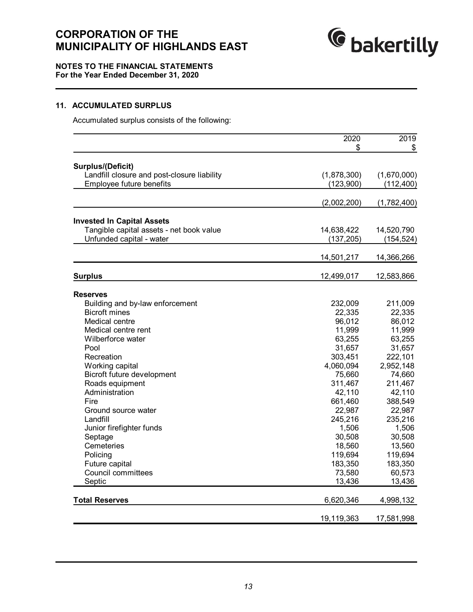

**NOTES TO THE FINANCIAL STATEMENTS For the Year Ended December 31, 2020**

### **11. ACCUMULATED SURPLUS**

Accumulated surplus consists of the following:

|                                             | 2020        | 2019        |
|---------------------------------------------|-------------|-------------|
|                                             | \$          | \$          |
| <b>Surplus/(Deficit)</b>                    |             |             |
| Landfill closure and post-closure liability | (1,878,300) | (1,670,000) |
| Employee future benefits                    | (123,900)   | (112, 400)  |
|                                             | (2,002,200) | (1,782,400) |
|                                             |             |             |
| <b>Invested In Capital Assets</b>           |             |             |
| Tangible capital assets - net book value    | 14,638,422  | 14,520,790  |
| Unfunded capital - water                    | (137, 205)  | (154, 524)  |
|                                             | 14,501,217  | 14,366,266  |
| <b>Surplus</b>                              | 12,499,017  | 12,583,866  |
|                                             |             |             |
| <b>Reserves</b>                             |             |             |
| Building and by-law enforcement             | 232,009     | 211,009     |
| <b>Bicroft mines</b>                        | 22,335      | 22,335      |
| Medical centre                              | 96,012      | 86,012      |
| Medical centre rent                         | 11,999      | 11,999      |
| Wilberforce water                           | 63,255      | 63,255      |
| Pool                                        | 31,657      | 31,657      |
| Recreation                                  | 303,451     | 222,101     |
| Working capital                             | 4,060,094   | 2,952,148   |
| Bicroft future development                  | 75,660      | 74,660      |
| Roads equipment                             | 311,467     | 211,467     |
| Administration                              | 42,110      | 42,110      |
| Fire                                        | 661,460     | 388,549     |
| Ground source water                         | 22,987      | 22,987      |
| Landfill                                    | 245,216     | 235,216     |
| Junior firefighter funds                    | 1,506       | 1,506       |
| Septage                                     | 30,508      | 30,508      |
| Cemeteries                                  | 18,560      | 13,560      |
| Policing                                    | 119,694     | 119,694     |
| Future capital                              | 183,350     | 183,350     |
| <b>Council committees</b>                   | 73,580      | 60,573      |
| Septic                                      | 13,436      | 13,436      |
| <b>Total Reserves</b>                       | 6,620,346   | 4,998,132   |
|                                             | 19,119,363  | 17,581,998  |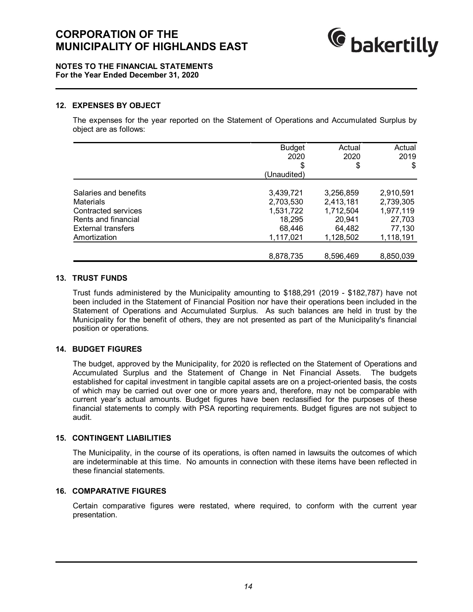

#### **NOTES TO THE FINANCIAL STATEMENTS For the Year Ended December 31, 2020**

## **12. EXPENSES BY OBJECT**

The expenses for the year reported on the Statement of Operations and Accumulated Surplus by object are as follows:

|                           | <b>Budget</b> | Actual    | Actual    |
|---------------------------|---------------|-----------|-----------|
|                           | 2020          | 2020      | 2019      |
|                           | \$            | \$        | \$        |
|                           | (Unaudited)   |           |           |
| Salaries and benefits     |               |           |           |
|                           | 3,439,721     | 3,256,859 | 2,910,591 |
| <b>Materials</b>          | 2,703,530     | 2,413,181 | 2,739,305 |
| Contracted services       | 1,531,722     | 1,712,504 | 1,977,119 |
| Rents and financial       | 18,295        | 20,941    | 27,703    |
| <b>External transfers</b> | 68,446        | 64,482    | 77,130    |
| Amortization              | 1,117,021     | 1,128,502 | 1,118,191 |
|                           |               |           |           |
|                           | 8,878,735     | 8,596,469 | 8,850,039 |

### **13. TRUST FUNDS**

Trust funds administered by the Municipality amounting to \$188,291 (2019 - \$182,787) have not been included in the Statement of Financial Position nor have their operations been included in the Statement of Operations and Accumulated Surplus. As such balances are held in trust by the Municipality for the benefit of others, they are not presented as part of the Municipality's financial position or operations.

# **14. BUDGET FIGURES**

The budget, approved by the Municipality, for 2020 is reflected on the Statement of Operations and Accumulated Surplus and the Statement of Change in Net Financial Assets. The budgets established for capital investment in tangible capital assets are on a project-oriented basis, the costs of which may be carried out over one or more years and, therefore, may not be comparable with current year's actual amounts. Budget figures have been reclassified for the purposes of these financial statements to comply with PSA reporting requirements. Budget figures are not subject to audit.

# **15. CONTINGENT LIABILITIES**

The Municipality, in the course of its operations, is often named in lawsuits the outcomes of which are indeterminable at this time. No amounts in connection with these items have been reflected in these financial statements.

# **16. COMPARATIVE FIGURES**

Certain comparative figures were restated, where required, to conform with the current year presentation.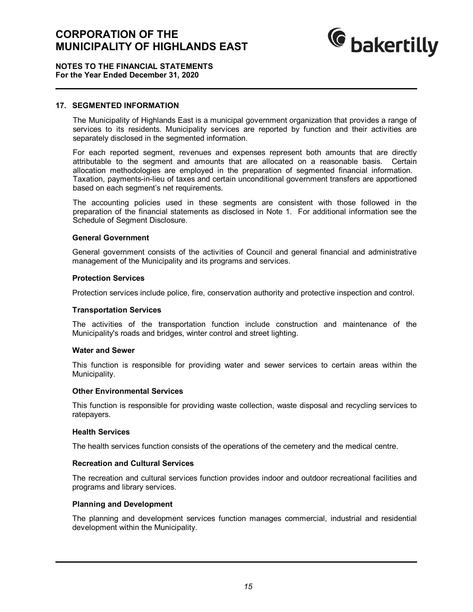

**NOTES TO THE FINANCIAL STATEMENTS For the Year Ended December 31, 2020**

## **17. SEGMENTED INFORMATION**

The Municipality of Highlands East is a municipal government organization that provides a range of services to its residents. Municipality services are reported by function and their activities are separately disclosed in the segmented information.

For each reported segment, revenues and expenses represent both amounts that are directly attributable to the segment and amounts that are allocated on a reasonable basis. Certain allocation methodologies are employed in the preparation of segmented financial information. Taxation, payments-in-lieu of taxes and certain unconditional government transfers are apportioned based on each segment's net requirements.

The accounting policies used in these segments are consistent with those followed in the preparation of the financial statements as disclosed in Note 1. For additional information see the Schedule of Segment Disclosure.

## **General Government**

General government consists of the activities of Council and general financial and administrative management of the Municipality and its programs and services.

### **Protection Services**

Protection services include police, fire, conservation authority and protective inspection and control.

### **Transportation Services**

The activities of the transportation function include construction and maintenance of the Municipality's roads and bridges, winter control and street lighting.

### **Water and Sewer**

This function is responsible for providing water and sewer services to certain areas within the Municipality.

### **Other Environmental Services**

This function is responsible for providing waste collection, waste disposal and recycling services to ratepayers.

### **Health Services**

The health services function consists of the operations of the cemetery and the medical centre.

### **Recreation and Cultural Services**

The recreation and cultural services function provides indoor and outdoor recreational facilities and programs and library services.

### **Planning and Development**

The planning and development services function manages commercial, industrial and residential development within the Municipality.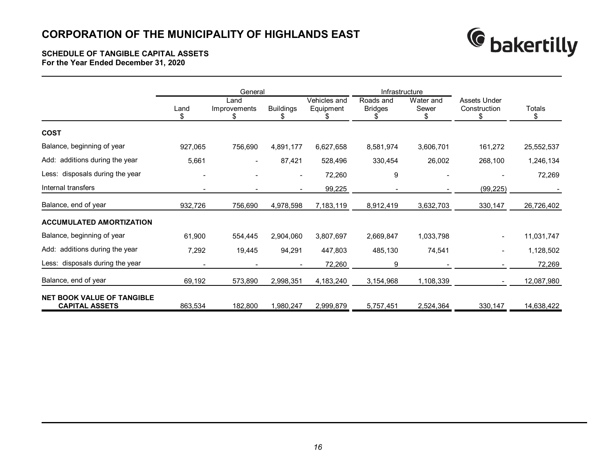

# **SCHEDULE OF TANGIBLE CAPITAL ASSETS**

**For the Year Ended December 31, 2020**

|                                                            |                          | General                           |                        |                                 | Infrastructure              |                          |                                    |              |
|------------------------------------------------------------|--------------------------|-----------------------------------|------------------------|---------------------------------|-----------------------------|--------------------------|------------------------------------|--------------|
|                                                            | Land<br>\$               | Land<br><b>Improvements</b><br>\$ | <b>Buildings</b><br>S. | Vehicles and<br>Equipment<br>\$ | Roads and<br><b>Bridges</b> | Water and<br>Sewer<br>\$ | Assets Under<br>Construction<br>\$ | Totals<br>\$ |
| <b>COST</b>                                                |                          |                                   |                        |                                 |                             |                          |                                    |              |
| Balance, beginning of year                                 | 927,065                  | 756,690                           | 4,891,177              | 6,627,658                       | 8,581,974                   | 3,606,701                | 161,272                            | 25,552,537   |
| additions during the year<br>Add:                          | 5,661                    | $\blacksquare$                    | 87,421                 | 528,496                         | 330,454                     | 26,002                   | 268,100                            | 1,246,134    |
| Less: disposals during the year                            |                          |                                   |                        | 72,260                          | 9                           |                          |                                    | 72,269       |
| Internal transfers                                         | $\overline{\phantom{0}}$ | $\overline{\phantom{a}}$          | $\blacksquare$         | 99,225                          |                             |                          | (99, 225)                          |              |
| Balance, end of year                                       | 932,726                  | 756,690                           | 4,978,598              | 7,183,119                       | 8,912,419                   | 3,632,703                | 330,147                            | 26,726,402   |
| <b>ACCUMULATED AMORTIZATION</b>                            |                          |                                   |                        |                                 |                             |                          |                                    |              |
| Balance, beginning of year                                 | 61,900                   | 554,445                           | 2,904,060              | 3,807,697                       | 2,669,847                   | 1,033,798                | $\overline{\phantom{a}}$           | 11,031,747   |
| Add: additions during the year                             | 7,292                    | 19,445                            | 94,291                 | 447,803                         | 485,130                     | 74,541                   | $\blacksquare$                     | 1,128,502    |
| Less: disposals during the year                            |                          |                                   |                        | 72,260                          | 9                           |                          |                                    | 72,269       |
| Balance, end of year                                       | 69,192                   | 573,890                           | 2,998,351              | 4,183,240                       | 3,154,968                   | 1,108,339                |                                    | 12,087,980   |
| <b>NET BOOK VALUE OF TANGIBLE</b><br><b>CAPITAL ASSETS</b> | 863,534                  | 182,800                           | 1,980,247              | 2,999,879                       | 5,757,451                   | 2,524,364                | 330,147                            | 14,638,422   |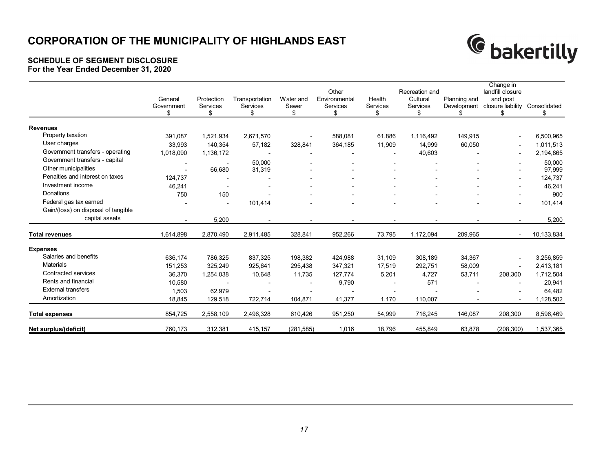

# **SCHEDULE OF SEGMENT DISCLOSURE**

**For the Year Ended December 31, 2020**

|                                     | General                  | Protection               | Transportation | Water and                | Other<br>Environmental | Health         | Recreation and<br>Cultural | Planning and      | Change in<br>landfill closure<br>and post |            |
|-------------------------------------|--------------------------|--------------------------|----------------|--------------------------|------------------------|----------------|----------------------------|-------------------|-------------------------------------------|------------|
|                                     | Government<br>\$         | Services<br>\$           | Services<br>\$ | Sewer<br>\$              | Services<br>\$         | Services<br>\$ | Services<br>\$             | Development<br>\$ | closure liability Consolidated<br>\$      | \$         |
| <b>Revenues</b>                     |                          |                          |                |                          |                        |                |                            |                   |                                           |            |
| Property taxation                   | 391,087                  | 1,521,934                | 2,671,570      | $\overline{\phantom{a}}$ | 588,081                | 61,886         | 1,116,492                  | 149,915           | $\overline{\phantom{a}}$                  | 6,500,965  |
| User charges                        | 33,993                   | 140,354                  | 57,182         | 328,841                  | 364,185                | 11.909         | 14,999                     | 60,050            | $\overline{a}$                            | 1,011,513  |
| Government transfers - operating    | 1,018,090                | 1,136,172                |                |                          |                        |                | 40,603                     |                   | $\blacksquare$                            | 2,194,865  |
| Government transfers - capital      | $\overline{\phantom{0}}$ | $\overline{\phantom{a}}$ | 50.000         |                          |                        |                |                            |                   | $\overline{a}$                            | 50,000     |
| Other municipalities                |                          | 66,680                   | 31,319         |                          |                        |                |                            |                   | $\overline{\phantom{a}}$                  | 97,999     |
| Penalties and interest on taxes     | 124,737                  |                          |                |                          |                        |                |                            |                   | $\overline{\phantom{a}}$                  | 124,737    |
| Investment income                   | 46,241                   |                          |                |                          |                        |                |                            |                   | $\blacksquare$                            | 46,241     |
| Donations                           | 750                      | 150                      |                |                          |                        |                |                            |                   | $\blacksquare$                            | 900        |
| Federal gas tax earned              |                          | $\overline{a}$           | 101,414        |                          |                        |                |                            |                   | $\overline{a}$                            | 101,414    |
| Gain/(loss) on disposal of tangible |                          |                          |                |                          |                        |                |                            |                   |                                           |            |
| capital assets                      |                          | 5,200                    |                |                          |                        |                |                            |                   |                                           | 5,200      |
| <b>Total revenues</b>               | 1,614,898                | 2,870,490                | 2,911,485      | 328,841                  | 952,266                | 73,795         | 1,172,094                  | 209,965           | $\blacksquare$                            | 10,133,834 |
| <b>Expenses</b>                     |                          |                          |                |                          |                        |                |                            |                   |                                           |            |
| Salaries and benefits               | 636,174                  | 786,325                  | 837,325        | 198,382                  | 424,988                | 31,109         | 308,189                    | 34,367            | $\overline{\phantom{a}}$                  | 3,256,859  |
| <b>Materials</b>                    | 151,253                  | 325,249                  | 925,641        | 295,438                  | 347,321                | 17,519         | 292,751                    | 58,009            | $\blacksquare$                            | 2,413,181  |
| Contracted services                 | 36,370                   | 1,254,038                | 10,648         | 11,735                   | 127,774                | 5,201          | 4,727                      | 53,711            | 208,300                                   | 1,712,504  |
| Rents and financial                 | 10,580                   |                          |                |                          | 9,790                  |                | 571                        |                   | $\blacksquare$                            | 20,941     |
| <b>External transfers</b>           | 1,503                    | 62,979                   |                |                          |                        |                |                            |                   |                                           | 64,482     |
| Amortization                        | 18,845                   | 129,518                  | 722,714        | 104,871                  | 41,377                 | 1,170          | 110,007                    |                   |                                           | 1,128,502  |
| <b>Total expenses</b>               | 854,725                  | 2,558,109                | 2,496,328      | 610,426                  | 951,250                | 54,999         | 716,245                    | 146,087           | 208,300                                   | 8,596,469  |
| Net surplus/(deficit)               | 760,173                  | 312,381                  | 415,157        | (281, 585)               | 1,016                  | 18,796         | 455,849                    | 63,878            | (208, 300)                                | 1,537,365  |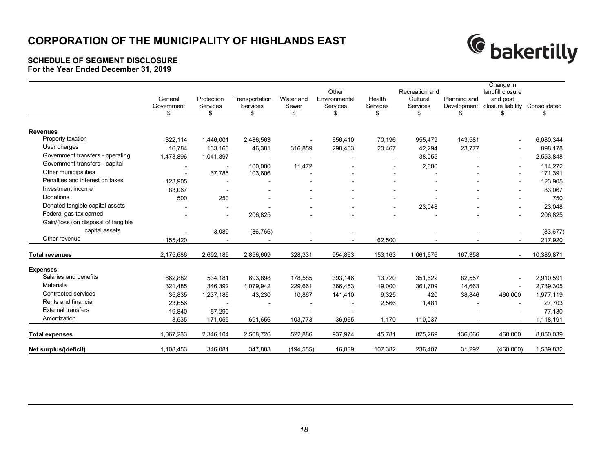

### **SCHEDULE OF SEGMENT DISCLOSURE For the Year Ended December 31, 2019**

|                                     | General<br>Government<br>\$ | Protection<br><b>Services</b><br>\$ | Transportation<br>Services<br>\$ | Water and<br>Sewer<br>\$ | Other<br>Environmental<br><b>Services</b><br>\$. | Health<br>Services<br>\$ | Recreation and<br>Cultural<br>Services<br>\$ | Planning and<br>Development<br>£. | Change in<br>landfill closure<br>and post<br>closure liability<br>\$ | Consolidated<br>\$ |
|-------------------------------------|-----------------------------|-------------------------------------|----------------------------------|--------------------------|--------------------------------------------------|--------------------------|----------------------------------------------|-----------------------------------|----------------------------------------------------------------------|--------------------|
|                                     |                             |                                     |                                  |                          |                                                  |                          |                                              |                                   |                                                                      |                    |
| <b>Revenues</b>                     |                             |                                     |                                  |                          |                                                  |                          |                                              |                                   |                                                                      |                    |
| Property taxation                   | 322,114                     | 1,446,001                           | 2,486,563                        | $\overline{\phantom{a}}$ | 656,410                                          | 70,196                   | 955,479                                      | 143,581                           | $\blacksquare$                                                       | 6,080,344          |
| User charges                        | 16,784                      | 133.163                             | 46,381                           | 316,859                  | 298,453                                          | 20,467                   | 42,294                                       | 23,777                            | $\blacksquare$                                                       | 898,178            |
| Government transfers - operating    | 1,473,896                   | 1,041,897                           |                                  | $\overline{\phantom{a}}$ |                                                  |                          | 38,055                                       |                                   | $\overline{\phantom{a}}$                                             | 2,553,848          |
| Government transfers - capital      |                             |                                     | 100,000                          | 11,472                   |                                                  |                          | 2,800                                        |                                   | $\overline{\phantom{a}}$                                             | 114,272            |
| Other municipalities                |                             | 67,785                              | 103,606                          |                          |                                                  |                          |                                              |                                   | $\blacksquare$                                                       | 171,391            |
| Penalties and interest on taxes     | 123,905                     |                                     |                                  |                          |                                                  |                          |                                              |                                   | $\overline{\phantom{a}}$                                             | 123,905            |
| Investment income                   | 83,067                      |                                     |                                  |                          |                                                  |                          |                                              |                                   | $\overline{\phantom{a}}$                                             | 83,067             |
| Donations                           | 500                         | 250                                 |                                  |                          |                                                  |                          |                                              |                                   | $\blacksquare$                                                       | 750                |
| Donated tangible capital assets     |                             |                                     |                                  |                          |                                                  |                          | 23,048                                       |                                   | $\blacksquare$                                                       | 23,048             |
| Federal gas tax earned              |                             |                                     | 206,825                          |                          |                                                  |                          |                                              |                                   | $\blacksquare$                                                       | 206,825            |
| Gain/(loss) on disposal of tangible |                             |                                     |                                  |                          |                                                  |                          |                                              |                                   |                                                                      |                    |
| capital assets                      |                             | 3,089                               | (86, 766)                        |                          | $\blacksquare$                                   |                          |                                              |                                   | $\overline{\phantom{a}}$                                             | (83, 677)          |
| Other revenue                       | 155,420                     |                                     |                                  |                          |                                                  | 62,500                   |                                              |                                   |                                                                      | 217,920            |
| <b>Total revenues</b>               | 2,175,686                   | 2,692,185                           | 2,856,609                        | 328,331                  | 954,863                                          | 153,163                  | 1,061,676                                    | 167,358                           |                                                                      | 10,389,871         |
| <b>Expenses</b>                     |                             |                                     |                                  |                          |                                                  |                          |                                              |                                   |                                                                      |                    |
| Salaries and benefits               | 662,882                     | 534,181                             | 693,898                          | 178,585                  | 393,146                                          | 13,720                   | 351,622                                      | 82,557                            | $\blacksquare$                                                       | 2,910,591          |
| Materials                           | 321,485                     | 346,392                             | 1,079,942                        | 229,661                  | 366,453                                          | 19,000                   | 361,709                                      | 14,663                            | $\blacksquare$                                                       | 2,739,305          |
| <b>Contracted services</b>          | 35,835                      | 1,237,186                           | 43,230                           | 10,867                   | 141,410                                          | 9,325                    | 420                                          | 38,846                            | 460,000                                                              | 1,977,119          |
| Rents and financial                 | 23,656                      |                                     |                                  | $\overline{\phantom{a}}$ |                                                  | 2,566                    | 1,481                                        | $\overline{\phantom{a}}$          | $\blacksquare$                                                       | 27,703             |
| <b>External transfers</b>           | 19,840                      | 57,290                              |                                  |                          |                                                  |                          |                                              |                                   | $\overline{a}$                                                       | 77,130             |
| Amortization                        | 3,535                       | 171,055                             | 691,656                          | 103,773                  | 36,965                                           | 1,170                    | 110,037                                      |                                   | $\blacksquare$                                                       | 1,118,191          |
| <b>Total expenses</b>               | 1,067,233                   | 2,346,104                           | 2,508,726                        | 522,886                  | 937,974                                          | 45,781                   | 825,269                                      | 136,066                           | 460,000                                                              | 8,850,039          |
| Net surplus/(deficit)               | 1,108,453                   | 346,081                             | 347,883                          | (194, 555)               | 16,889                                           | 107,382                  | 236,407                                      | 31,292                            | (460,000)                                                            | 1,539,832          |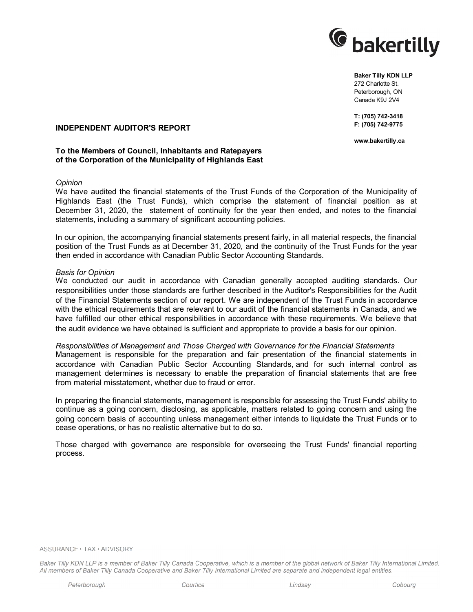

# **Baker Tilly KDN LLP**

272 Charlotte St. Peterborough, ON Canada K9J 2V4

**T: (705) 742-3418 F: (705) 742-9775**

**www.bakertilly.ca**

## **INDEPENDENT AUDITOR'S REPORT**

#### **To the Members of Council, Inhabitants and Ratepayers of the Corporation of the Municipality of Highlands East**

#### *Opinion*

We have audited the financial statements of the Trust Funds of the Corporation of the Municipality of Highlands East (the Trust Funds), which comprise the statement of financial position as at December 31, 2020, the statement of continuity for the year then ended, and notes to the financial statements, including a summary of significant accounting policies.

In our opinion, the accompanying financial statements present fairly, in all material respects, the financial position of the Trust Funds as at December 31, 2020, and the continuity of the Trust Funds for the year then ended in accordance with Canadian Public Sector Accounting Standards.

#### *Basis for Opinion*

We conducted our audit in accordance with Canadian generally accepted auditing standards. Our responsibilities under those standards are further described in the Auditor's Responsibilities for the Audit of the Financial Statements section of our report. We are independent of the Trust Funds in accordance with the ethical requirements that are relevant to our audit of the financial statements in Canada, and we have fulfilled our other ethical responsibilities in accordance with these requirements. We believe that the audit evidence we have obtained is sufficient and appropriate to provide a basis for our opinion.

# *Responsibilities of Management and Those Charged with Governance for the Financial Statements*

Management is responsible for the preparation and fair presentation of the financial statements in accordance with Canadian Public Sector Accounting Standards, and for such internal control as management determines is necessary to enable the preparation of financial statements that are free from material misstatement, whether due to fraud or error.

In preparing the financial statements, management is responsible for assessing the Trust Funds' ability to continue as a going concern, disclosing, as applicable, matters related to going concern and using the going concern basis of accounting unless management either intends to liquidate the Trust Funds or to cease operations, or has no realistic alternative but to do so.

Those charged with governance are responsible for overseeing the Trust Funds' financial reporting process.

#### ASSURANCE · TAX · ADVISORY

Baker Tilly KDN LLP is a member of Baker Tilly Canada Cooperative, which is a member of the global network of Baker Tilly International Limited. All members of Baker Tilly Canada Cooperative and Baker Tilly International Limited are separate and independent legal entities.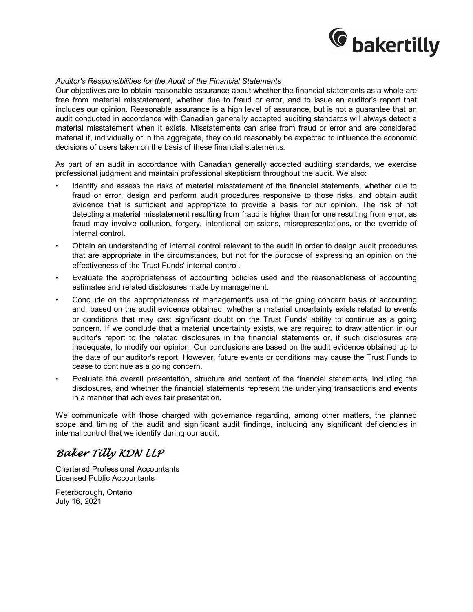

### *Auditor's Responsibilities for the Audit of the Financial Statements*

Our objectives are to obtain reasonable assurance about whether the financial statements as a whole are free from material misstatement, whether due to fraud or error, and to issue an auditor's report that includes our opinion. Reasonable assurance is a high level of assurance, but is not a guarantee that an audit conducted in accordance with Canadian generally accepted auditing standards will always detect a material misstatement when it exists. Misstatements can arise from fraud or error and are considered material if, individually or in the aggregate, they could reasonably be expected to influence the economic decisions of users taken on the basis of these financial statements.

As part of an audit in accordance with Canadian generally accepted auditing standards, we exercise professional judgment and maintain professional skepticism throughout the audit. We also:

- Identify and assess the risks of material misstatement of the financial statements, whether due to fraud or error, design and perform audit procedures responsive to those risks, and obtain audit evidence that is sufficient and appropriate to provide a basis for our opinion. The risk of not detecting a material misstatement resulting from fraud is higher than for one resulting from error, as fraud may involve collusion, forgery, intentional omissions, misrepresentations, or the override of internal control.
- Obtain an understanding of internal control relevant to the audit in order to design audit procedures that are appropriate in the circumstances, but not for the purpose of expressing an opinion on the effectiveness of the Trust Funds' internal control.
- Evaluate the appropriateness of accounting policies used and the reasonableness of accounting estimates and related disclosures made by management.
- Conclude on the appropriateness of management's use of the going concern basis of accounting and, based on the audit evidence obtained, whether a material uncertainty exists related to events or conditions that may cast significant doubt on the Trust Funds' ability to continue as a going concern. If we conclude that a material uncertainty exists, we are required to draw attention in our auditor's report to the related disclosures in the financial statements or, if such disclosures are inadequate, to modify our opinion. Our conclusions are based on the audit evidence obtained up to the date of our auditor's report. However, future events or conditions may cause the Trust Funds to cease to continue as a going concern.
- Evaluate the overall presentation, structure and content of the financial statements, including the disclosures, and whether the financial statements represent the underlying transactions and events in a manner that achieves fair presentation.

We communicate with those charged with governance regarding, among other matters, the planned scope and timing of the audit and significant audit findings, including any significant deficiencies in internal control that we identify during our audit.

# *Baker Tilly KDN LLP*

Chartered Professional Accountants Licensed Public Accountants

Peterborough, Ontario July 16, 2021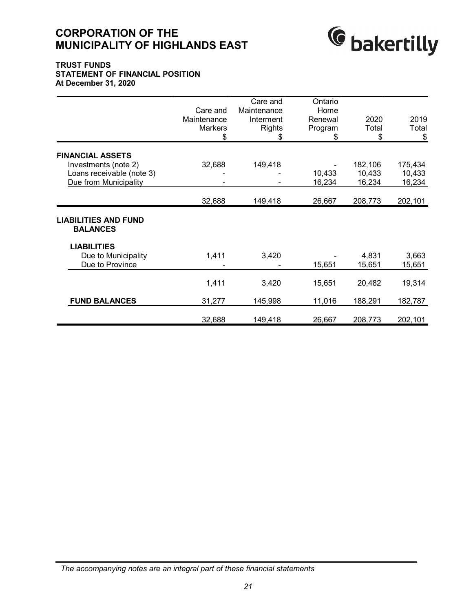

# **TRUST FUNDS STATEMENT OF FINANCIAL POSITION At December 31, 2020**

|                                                |                | Care and      | Ontario |         |               |
|------------------------------------------------|----------------|---------------|---------|---------|---------------|
|                                                | Care and       | Maintenance   | Home    |         |               |
|                                                | Maintenance    | Interment     | Renewal | 2020    | 2019          |
|                                                | <b>Markers</b> | <b>Rights</b> | Program | Total   | Total         |
|                                                | \$             | \$            | \$      | \$      | $\frac{1}{2}$ |
| <b>FINANCIAL ASSETS</b>                        |                |               |         |         |               |
| Investments (note 2)                           | 32,688         | 149,418       |         | 182,106 | 175,434       |
| Loans receivable (note 3)                      |                |               | 10,433  | 10,433  | 10,433        |
| Due from Municipality                          |                |               | 16,234  | 16,234  | 16,234        |
|                                                |                |               |         |         |               |
|                                                | 32,688         | 149,418       | 26,667  | 208,773 | 202,101       |
| <b>LIABILITIES AND FUND</b><br><b>BALANCES</b> |                |               |         |         |               |
| <b>LIABILITIES</b>                             |                |               |         |         |               |
| Due to Municipality                            | 1,411          | 3,420         |         | 4,831   | 3,663         |
| Due to Province                                |                |               | 15,651  | 15,651  | 15,651        |
|                                                |                |               |         |         |               |
|                                                | 1,411          | 3,420         | 15,651  | 20,482  | 19,314        |
|                                                |                |               |         |         |               |
| <b>FUND BALANCES</b>                           | 31,277         | 145,998       | 11,016  | 188,291 | 182,787       |
|                                                | 32,688         | 149,418       | 26,667  | 208,773 | 202,101       |

*The accompanying notes are an integral part of these financial statements*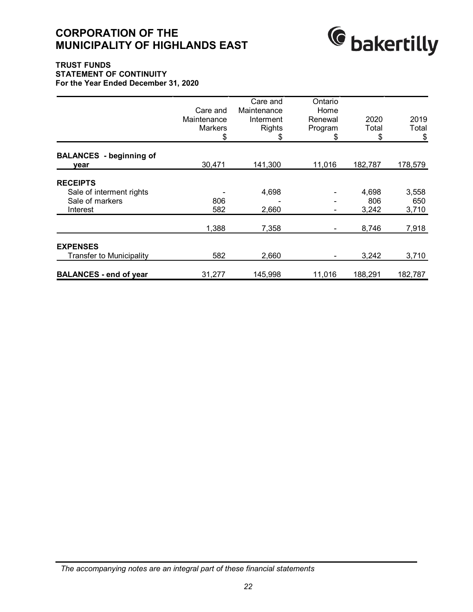

## **TRUST FUNDS STATEMENT OF CONTINUITY For the Year Ended December 31, 2020**

|                                        | Care and<br>Maintenance<br><b>Markers</b> | Care and<br>Maintenance<br>Interment<br><b>Rights</b> | Ontario<br>Home<br>Renewal<br>Program | 2020<br>Total | 2019<br>Total |
|----------------------------------------|-------------------------------------------|-------------------------------------------------------|---------------------------------------|---------------|---------------|
|                                        | \$                                        | \$                                                    | \$                                    | \$            | \$            |
| <b>BALANCES</b> - beginning of<br>year | 30,471                                    | 141,300                                               | 11,016                                | 182,787       | 178,579       |
|                                        |                                           |                                                       |                                       |               |               |
| <b>RECEIPTS</b>                        |                                           |                                                       |                                       |               |               |
| Sale of interment rights               |                                           | 4,698                                                 |                                       | 4,698         | 3,558         |
| Sale of markers                        | 806                                       |                                                       |                                       | 806           | 650           |
| Interest                               | 582                                       | 2,660                                                 |                                       | 3,242         | 3,710         |
|                                        | 1,388                                     | 7,358                                                 |                                       | 8,746         | 7,918         |
| <b>EXPENSES</b>                        |                                           |                                                       |                                       |               |               |
| <b>Transfer to Municipality</b>        | 582                                       | 2,660                                                 |                                       | 3,242         | 3,710         |
| <b>BALANCES</b> - end of year          | 31,277                                    | 145,998                                               | 11,016                                | 188,291       | 182,787       |

 *The accompanying notes are an integral part of these financial statements*